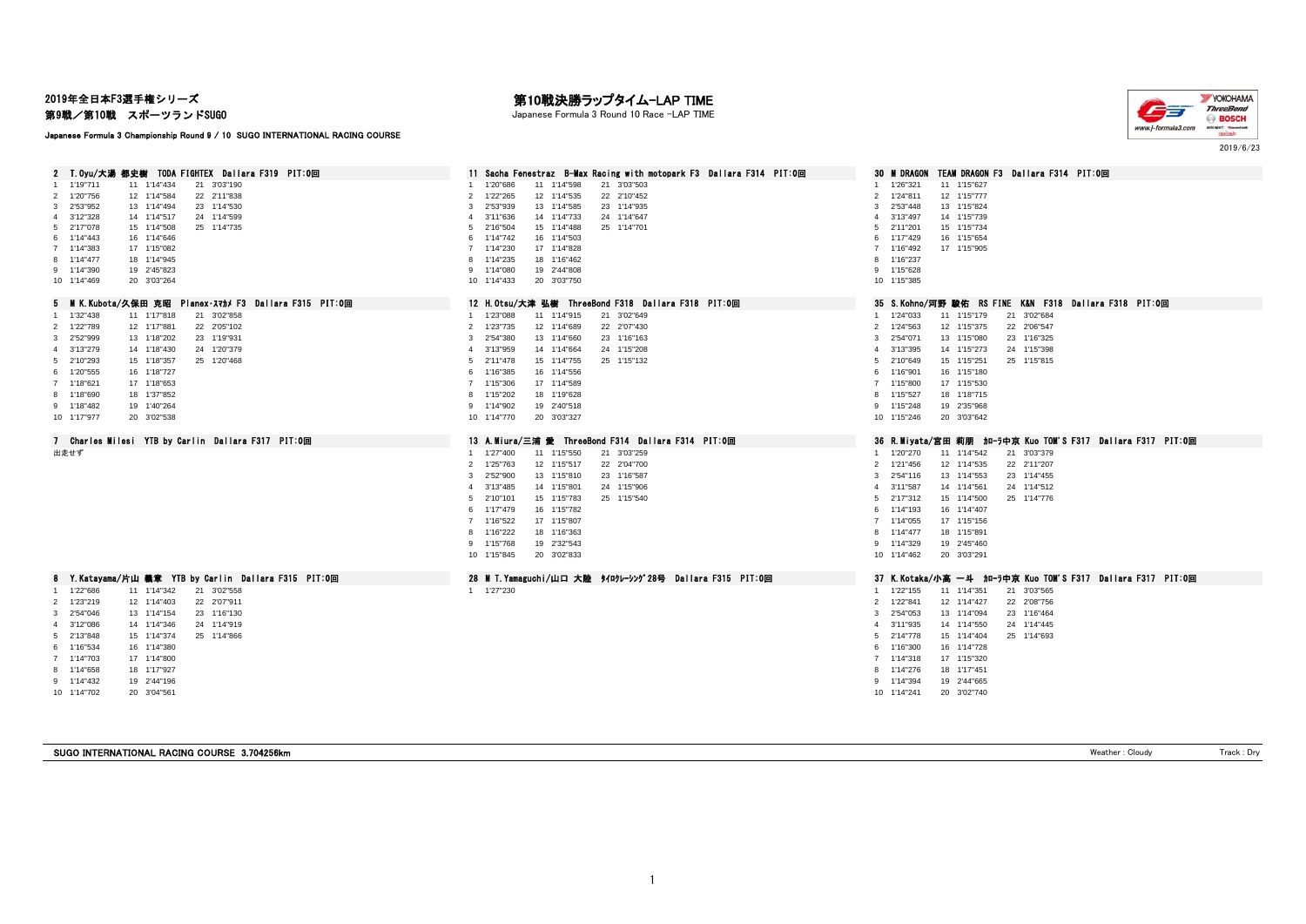#### 2019年全日本F3選手権シリーズ

第9戦/第10戦 スポーツランドSUGO

Japanese Formula 3 Championship Round 9 / 10 SUGO INTERNATIONAL RACING COURSE

## 第10戦決勝ラップタイム-LAP TIME

Japanese Formula 3 Round 10 Race -LAP TIME



2 T.Oyu/大湯 都史樹 TODA FIGHTEX Dallara F319 PIT:0回 11 Sacha Fenestraz B-Max Racing with motopark F3 Dallara F314 PIT:0回 30 M DRAGON TEAM DRAGON F3 Dallara F314 PIT:0回 30 M DRAGON F3 Dallara F314 PIT:0回 11 115"627 11 115"627 1 119"711 11 114"434 21 3'03"190 1 1'20"686 11 1'14"598 21 3'03"503 1 1'26"321 11 1'15"627 1'20"756 12 1'14"584 22 2'11"838 2 1'22"265 12 1'14"535 22 2'10"452 2 1'24"811 12 1'15"777 2'53"952 13 1'14"494 23 1'14"530 3 2'53"939 13 1'14"585 23 1'14"935 3 2'53"448 13 1'15"824 3'12"328 14 1'14"517 24 1'14"599 4 3'11"636 14 1'14"733 24 1'14"647 4 3'13"497 14 1'15"739 2'17"078 15 1'14"508 25 1'14"735 5 2'16"504 15 1'14"488 25 1'14"701 5 2'11"201 15 1'15"734 1'14"443 16 1'14"646 6 1'14"742 16 1'14"503 6 1'17"429 16 1'15"654 1'14"383 17 1'15"082 7 1'14"230 17 1'14"828 7 1'16"492 17 1'15"905 1'14"477 18 1'14"945 8 1'14"235 18 1'16"462 8 1'16"237 1'14"390 19 2'45"823 9 1'14"080 19 2'44"808 9 1'15"628 1'14"469 20 3'03"264 10 1'14"433 20 3'03"750 10 1'15"385 5 M K.Kubota/久保田 克昭 Planex・スマカメ F3 Dallara F315 PIT:0回 12 H.Otsu/大津 弘樹 ThreeBond F318 Dallara F318 PIT:0回 35 S.Kohno/河野 駿佑 RS FINE K&N F318 Dallara F318 PIT:0回<br>1 132\*438 11 117\*818 21 3102\*858 1'32"438 11 1'17"818 21 3'02"858 1 1'23"088 11 1'14"915 21 3'02"649 1 1'24"033 11 1'15"179 21 3'02"684 1'22"789 12 1'17"881 22 2'05"102 2 1'23"735 12 1'14"689 22 2'07"430 2 1'24"563 12 1'15"375 22 2'06"547 2'52"999 13 1'18"202 23 1'19"931 3 2'54"380 13 1'14"660 23 1'16"163 3 2'54"071 13 1'15"080 23 1'16"325 3'13"279 14 1'18"430 24 1'20"379 4 3'13"959 14 1'14"664 24 1'15"208 4 3'13"395 14 1'15"273 24 1'15"398 2'10"293 15 1'18"357 25 1'20"468 5 2'11"478 15 1'14"755 25 1'15"132 5 2'10"649 15 1'15"251 25 1'15"815 1'20"555 16 1'18"727 6 1'16"385 16 1'14"556 6 1'16"901 16 1'15"180 1'18"621 17 1'18"653 7 1'15"306 17 1'14"589 7 1'15"800 17 1'15"530 1'18"690 18 1'37"852 8 1'15"202 18 1'19"628 8 1'15"527 18 1'18"715 1'18"482 19 1'40"264 9 1'14"902 19 2'40"518 9 1'15"248 19 2'35"968 1'17"977 20 3'02"538 10 1'14"770 20 3'03"327 10 1'15"246 20 3'03"642 7 Charles Milesi YTB by Carlin Dallara F317 PIT:0回 13 A.Miura/三浦 愛 ThreeBond F314 Dallara F314 PIT:0回 36 R.Mivata/宮田 莉朋 カローラ中京 Kuo TOM'S F317 Dallara F317 PIT:0回 出走せず 1 1'27"400 11 1'15"550 21 3'03"259 1 1'20"270 11 1'14"542 21 3'03"379 1'25"763 12 1'15"517 22 2'04"700 2 1'21"456 12 1'14"535 22 2'11"207 2'52"900 13 1'15"810 23 1'16"587 3 2'54"116 13 1'14"553 23 1'14"455 3'13"485 14 1'15"801 24 1'15"906 4 3'11"587 14 1'14"561 24 1'14"512 2'10"101 15 1'15"783 25 1'15"540 5 2'17"312 15 1'14"500 25 1'14"776 1'17"479 16 1'15"782 6 1'14"193 16 1'14"407 1'16"522 17 1'15"807 7 1'14"055 17 1'15"156 8 1'16"222 18 1'16"363 1'15"768 19 2'32"543 9 1'14"329 19 2'45"460 1'15"845 20 3'02"833 10 1'14"462 20 3'03"291 8 Y.Katayama/片山 義章 YTB by Carlin Dallara F315 PIT:0回 28 M T.Yamaguchi/山口 大陸 タイロクレーシング 28号 Dallara F315 PIT:0回 37 K.Kotaka/小高 一斗 カローラ中京 Kuo TOM'S F317 Dallara F317 PIT:0回 1'22"686 11 1'14"342 21 3'02"558 1 1'27"230 1 1'22"155 11 1'14"351 21 3'03"565 1'23"219 12 1'14"403 22 2'07"911 2 1'22"841 12 1'14"427 22 2'08"756 2'54"046 13 1'14"154 23 1'16"130 3 2'54"053 13 1'14"094 23 1'16"464 3'12"086 14 1'14"346 24 1'14"919 4 3'11"935 14 1'14"550 24 1'14"445 2'13"848 15 1'14"374 25 1'14"866 5 2'14"778 15 1'14"404 25 1'14"693 1'16"534 16 1'14"380 6 1'16"300 16 1'14"728 1'14"703 17 1'14"800 7 1'14"318 17 1'15"320 1'14"658 18 1'17"927 8 1'14"276 18 1'17"451 1'14"432 19 2'44"196 9 1'14"394 19 2'44"665 1'14"702 20 3'04"561 10 1'14"241 20 3'02"740